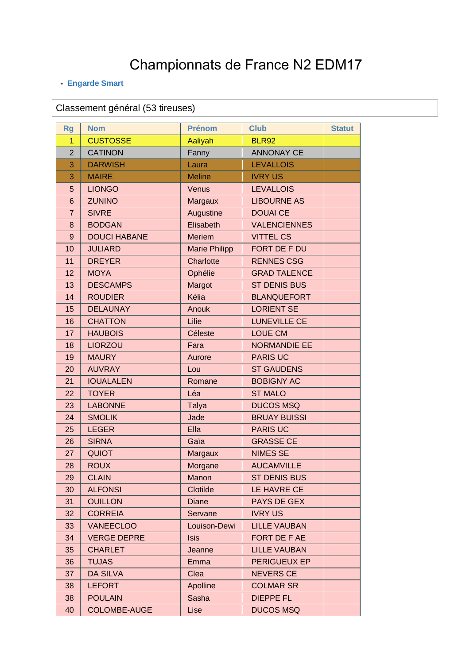## Championnats de France N2 EDM17

## - Engarde Smart

Classement général (53 tireuses)

| <b>Rg</b>      | <b>Nom</b>          | <b>Prénom</b>        | <b>Club</b>         | <b>Statut</b> |
|----------------|---------------------|----------------------|---------------------|---------------|
| 1              | <b>CUSTOSSE</b>     | Aaliyah              | <b>BLR92</b>        |               |
| $\overline{2}$ | <b>CATINON</b>      | Fanny                | <b>ANNONAY CE</b>   |               |
| 3              | <b>DARWISH</b>      | Laura                | <b>LEVALLOIS</b>    |               |
| 3              | <b>MAIRE</b>        | <b>Meline</b>        | <b>IVRY US</b>      |               |
| 5              | <b>LIONGO</b>       | Venus                | <b>LEVALLOIS</b>    |               |
| 6              | <b>ZUNINO</b>       | Margaux              | <b>LIBOURNE AS</b>  |               |
| $\overline{7}$ | <b>SIVRE</b>        | Augustine            | <b>DOUAI CE</b>     |               |
| 8              | <b>BODGAN</b>       | Elisabeth            | <b>VALENCIENNES</b> |               |
| $9$            | <b>DOUCI HABANE</b> | <b>Meriem</b>        | <b>VITTEL CS</b>    |               |
| 10             | <b>JULIARD</b>      | <b>Marie Philipp</b> | FORT DE F DU        |               |
| 11             | <b>DREYER</b>       | Charlotte            | <b>RENNES CSG</b>   |               |
| 12             | <b>MOYA</b>         | Ophélie              | <b>GRAD TALENCE</b> |               |
| 13             | <b>DESCAMPS</b>     | Margot               | <b>ST DENIS BUS</b> |               |
| 14             | <b>ROUDIER</b>      | Kélia                | <b>BLANQUEFORT</b>  |               |
| 15             | <b>DELAUNAY</b>     | Anouk                | <b>LORIENT SE</b>   |               |
| 16             | <b>CHATTON</b>      | Lilie                | <b>LUNEVILLE CE</b> |               |
| 17             | <b>HAUBOIS</b>      | Céleste              | <b>LOUE CM</b>      |               |
| 18             | <b>LIORZOU</b>      | Fara                 | <b>NORMANDIE EE</b> |               |
| 19             | <b>MAURY</b>        | Aurore               | <b>PARIS UC</b>     |               |
| 20             | <b>AUVRAY</b>       | Lou                  | <b>ST GAUDENS</b>   |               |
| 21             | <b>IOUALALEN</b>    | Romane               | <b>BOBIGNY AC</b>   |               |
| 22             | <b>TOYER</b>        | Léa                  | <b>ST MALO</b>      |               |
| 23             | <b>LABONNE</b>      | <b>Talya</b>         | <b>DUCOS MSQ</b>    |               |
| 24             | <b>SMOLIK</b>       | Jade                 | <b>BRUAY BUISSI</b> |               |
| 25             | <b>LEGER</b>        | Ella                 | <b>PARIS UC</b>     |               |
| 26             | <b>SIRNA</b>        | Gaïa                 | <b>GRASSE CE</b>    |               |
| 27             | <b>QUIOT</b>        | Margaux              | <b>NIMES SE</b>     |               |
| 28             | <b>ROUX</b>         | Morgane              | <b>AUCAMVILLE</b>   |               |
| 29             | <b>CLAIN</b>        | Manon                | <b>ST DENIS BUS</b> |               |
| 30             | <b>ALFONSI</b>      | Clotilde             | LE HAVRE CE         |               |
| 31             | <b>OUILLON</b>      | <b>Diane</b>         | PAYS DE GEX         |               |
| 32             | <b>CORREIA</b>      | Servane              | <b>IVRY US</b>      |               |
| 33             | <b>VANEECLOO</b>    | Louison-Dewi         | <b>LILLE VAUBAN</b> |               |
| 34             | <b>VERGE DEPRE</b>  | <b>Isis</b>          | FORT DE F AE        |               |
| 35             | <b>CHARLET</b>      | Jeanne               | <b>LILLE VAUBAN</b> |               |
| 36             | <b>TUJAS</b>        | Emma                 | PERIGUEUX EP        |               |
| 37             | <b>DA SILVA</b>     | Clea                 | <b>NEVERS CE</b>    |               |
| 38             | <b>LEFORT</b>       | Apolline             | <b>COLMAR SR</b>    |               |
| 38             | <b>POULAIN</b>      | Sasha                | <b>DIEPPE FL</b>    |               |
| 40             | <b>COLOMBE-AUGE</b> | Lise                 | <b>DUCOS MSQ</b>    |               |